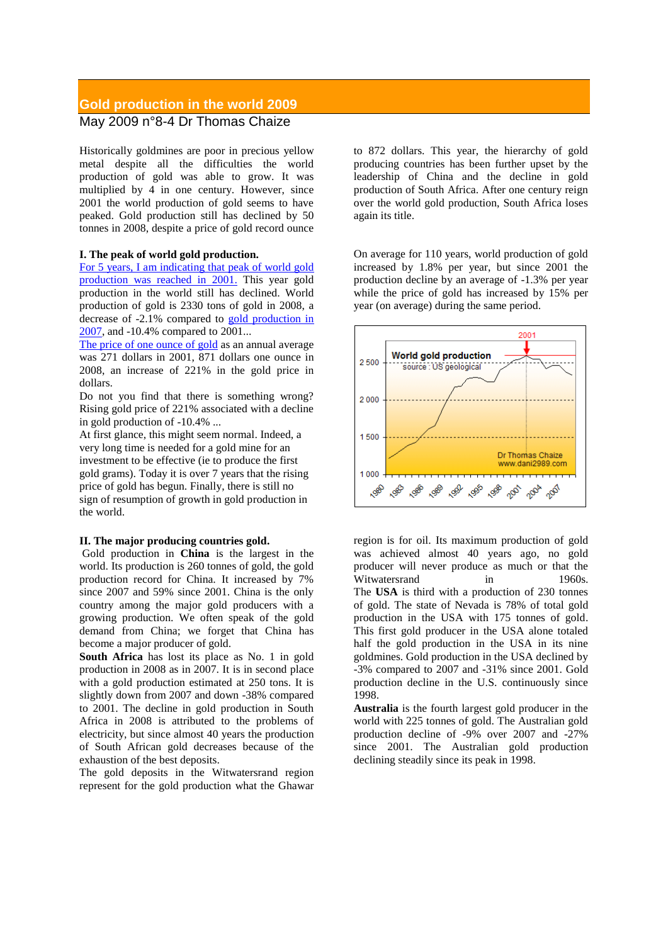## **Gold production in the world 2009** May 2009 n°8-4 Dr Thomas Chaize

Historically goldmines are poor in precious yellow metal despite all the difficulties the world production of gold was able to grow. It was multiplied by 4 in one century. However, since 2001 the world production of gold seems to have peaked. Gold production still has declined by 50 tonnes in 2008, despite a price of gold record ounce

## **I. The peak of world gold production.**

For 5 [years, I am indicating that](http://www.dani2989.com/gold/productiondorcyclesgb26072004.htm) peak of world gold [production was reached in 2001.](http://www.dani2989.com/gold/productiondorcyclesgb26072004.htm) This year gold production in the world still has declined. World production of gold is 2330 tons of gold in 2008, a decrease of -2.1% compared to [gold production in](http://www.dani2989.com/gold/worldgold08gb.htm)  [2007,](http://www.dani2989.com/gold/worldgold08gb.htm) and -10.4% compared to 2001...

[The price of one](http://www.dani2989.com/gold/auprice0409gb.htm) ounce of gold as an annual average was 271 dollars in 2001, 871 dollars one ounce in 2008, an increase of 221% in the gold price in dollars.

Do not you find that there is something wrong? Rising gold price of 221% associated with a decline in gold production of -10.4% ...

At first glance, this might seem normal. Indeed, a very long time is needed for a gold mine for an investment to be effective (ie to produce the first gold grams). Today it is over 7 years that the rising price of gold has begun. Finally, there is still no sign of resumption of growth in gold production in the world.

## **II. The major producing countries gold.**

Gold production in **China** is the largest in the world. Its production is 260 tonnes of gold, the gold production record for China. It increased by 7% since 2007 and 59% since 2001. China is the only country among the major gold producers with a growing production. We often speak of the gold demand from China; we forget that China has become a major producer of gold.

**South Africa** has lost its place as No. 1 in gold production in 2008 as in 2007. It is in second place with a gold production estimated at 250 tons. It is slightly down from 2007 and down -38% compared to 2001. The decline in gold production in South Africa in 2008 is attributed to the problems of electricity, but since almost 40 years the production of South African gold decreases because of the exhaustion of the best deposits.

The gold deposits in the Witwatersrand region represent for the gold production what the Ghawar to 872 dollars. This year, the hierarchy of gold producing countries has been further upset by the leadership of China and the decline in gold production of South Africa. After one century reign over the world gold production, South Africa loses again its title.

On average for 110 years, world production of gold increased by 1.8% per year, but since 2001 the production decline by an average of -1.3% per year while the price of gold has increased by 15% per year (on average) during the same period.



region is for oil. Its maximum production of gold was achieved almost 40 years ago, no gold producer will never produce as much or that the Witwatersrand in 1960s. The **USA** is third with a production of 230 tonnes of gold. The state of Nevada is 78% of total gold production in the USA with 175 tonnes of gold. This first gold producer in the USA alone totaled half the gold production in the USA in its nine goldmines. Gold production in the USA declined by -3% compared to 2007 and -31% since 2001. Gold production decline in the U.S. continuously since 1998.

**Australia** is the fourth largest gold producer in the world with 225 tonnes of gold. The Australian gold production decline of -9% over 2007 and -27% since 2001. The Australian gold production declining steadily since its peak in 1998.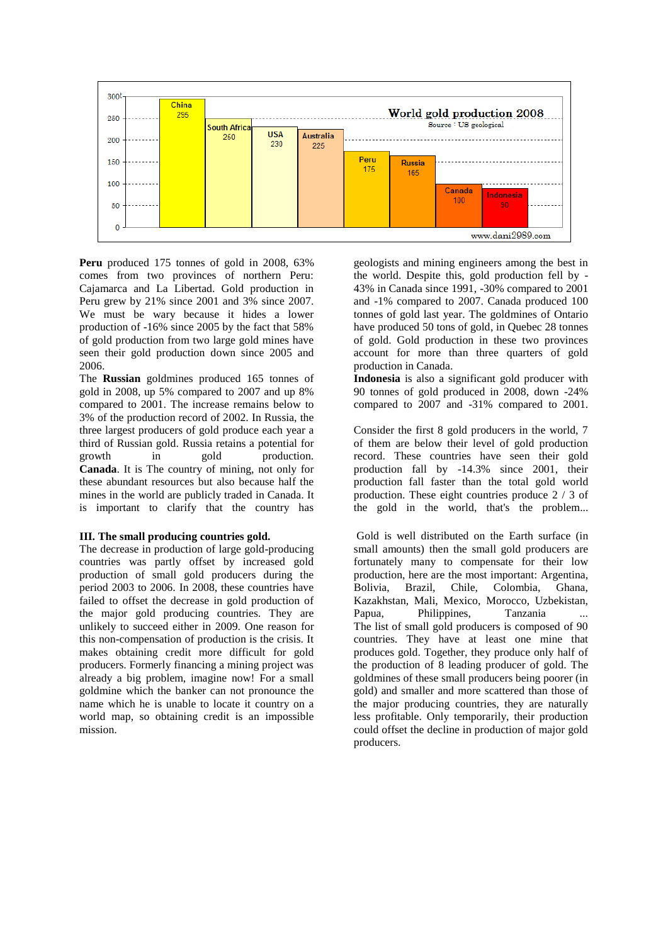

**Peru** produced 175 tonnes of gold in 2008, 63% comes from two provinces of northern Peru: Cajamarca and La Libertad. Gold production in Peru grew by 21% since 2001 and 3% since 2007. We must be wary because it hides a lower production of -16% since 2005 by the fact that 58% of gold production from two large gold mines have seen their gold production down since 2005 and 2006.

The **Russian** goldmines produced 165 tonnes of gold in 2008, up 5% compared to 2007 and up 8% compared to 2001. The increase remains below to 3% of the production record of 2002. In Russia, the three largest producers of gold produce each year a third of Russian gold. Russia retains a potential for growth in gold production. **Canada**. It is The country of mining, not only for these abundant resources but also because half the mines in the world are publicly traded in Canada. It is important to clarify that the country has

## **III. The small producing countries gold.**

The decrease in production of large gold-producing countries was partly offset by increased gold production of small gold producers during the period 2003 to 2006. In 2008, these countries have failed to offset the decrease in gold production of the major gold producing countries. They are unlikely to succeed either in 2009. One reason for this non-compensation of production is the crisis. It makes obtaining credit more difficult for gold producers. Formerly financing a mining project was already a big problem, imagine now! For a small goldmine which the banker can not pronounce the name which he is unable to locate it country on a world map, so obtaining credit is an impossible mission.

geologists and mining engineers among the best in the world. Despite this, gold production fell by - 43% in Canada since 1991, -30% compared to 2001 and -1% compared to 2007. Canada produced 100 tonnes of gold last year. The goldmines of Ontario have produced 50 tons of gold, in Quebec 28 tonnes of gold. Gold production in these two provinces account for more than three quarters of gold production in Canada.

**Indonesia** is also a significant gold producer with 90 tonnes of gold produced in 2008, down -24% compared to 2007 and -31% compared to 2001.

Consider the first 8 gold producers in the world, 7 of them are below their level of gold production record. These countries have seen their gold production fall by -14.3% since 2001, their production fall faster than the total gold world production. These eight countries produce 2 / 3 of the gold in the world, that's the problem...

Gold is well distributed on the Earth surface (in small amounts) then the small gold producers are fortunately many to compensate for their low production, here are the most important: Argentina, Bolivia, Brazil, Chile, Colombia, Ghana, Kazakhstan, Mali, Mexico, Morocco, Uzbekistan, Papua, Philippines, Tanzania The list of small gold producers is composed of 90 countries. They have at least one mine that produces gold. Together, they produce only half of the production of 8 leading producer of gold. The goldmines of these small producers being poorer (in gold) and smaller and more scattered than those of the major producing countries, they are naturally less profitable. Only temporarily, their production could offset the decline in production of major gold producers.